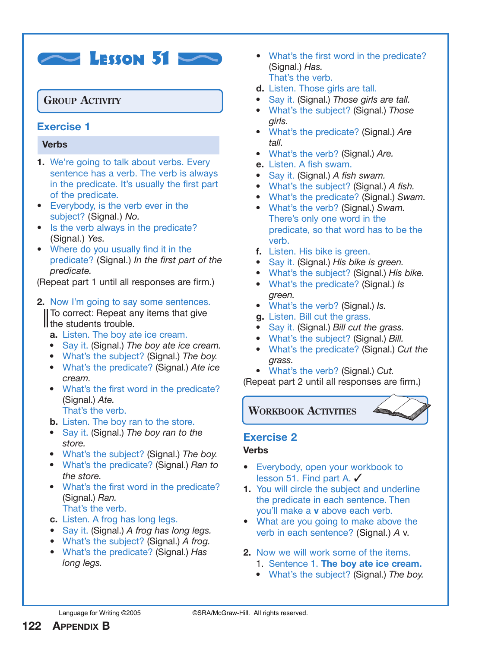# $\sim$  Lesson 51

# **GROUP ACTIVITY**

# **Exercise 1**

#### **Verbs**

- **1.** We're going to talk about verbs. Every sentence has a verb. The verb is always in the predicate. It's usually the first part of the predicate.
- **•** Everybody, is the verb ever in the subject? (Signal.) *No.*
- Is the verb always in the predicate? (Signal.) *Yes.*
- **•** Where do you usually find it in the predicate? (Signal.) *In the first part of the predicate.*

(Repeat part 1 until all responses are firm.)

# **2.** Now I'm going to say some sentences.

II To correct: Repeat any items that give Il the students trouble.

- **a.** Listen. The boy ate ice cream.
- **•** Say it. (Signal.) *The boy ate ice cream.*
- **•** What's the subject? (Signal.) *The boy.*
- **•** What's the predicate? (Signal.) *Ate ice cream.*
- **•** What's the first word in the predicate? (Signal.) *Ate.* That's the verb.
- **b.** Listen. The boy ran to the store.
- **•** Say it. (Signal.) *The boy ran to the store.*
- **•** What's the subject? (Signal.) *The boy.*
- **•** What's the predicate? (Signal.) *Ran to the store.*
- **•** What's the first word in the predicate? (Signal.) *Ran.* That's the verb.
- **c.** Listen. A frog has long legs.
- **•** Say it. (Signal.) *A frog has long legs.*
- **•** What's the subject? (Signal.) *A frog.*
- **•** What's the predicate? (Signal.) *Has long legs.*
- **•** What's the first word in the predicate? (Signal.) *Has.* That's the verb.
- **d.** Listen. Those girls are tall.
- **•** Say it. (Signal.) *Those girls are tall.*
- **•** What's the subject? (Signal.) *Those girls.*
- **•** What's the predicate? (Signal.) *Are tall.*
- **•** What's the verb? (Signal.) *Are.*
- **e.** Listen. A fish swam.
- **•** Say it. (Signal.) *A fish swam.*
- **•** What's the subject? (Signal.) *A fish.*
- **•** What's the predicate? (Signal.) *Swam.*
- **•** What's the verb? (Signal.) *Swam.* There's only one word in the predicate, so that word has to be the verb.
- **f.** Listen. His bike is green.
- **•** Say it. (Signal.) *His bike is green.*
- **•** What's the subject? (Signal.) *His bike.*
- **•** What's the predicate? (Signal.) *Is green.*
- **•** What's the verb? (Signal.) *Is.*
- **g.** Listen. Bill cut the grass.
- **•** Say it. (Signal.) *Bill cut the grass.*
- **•** What's the subject? (Signal.) *Bill.*
- **•** What's the predicate? (Signal.) *Cut the grass.*
- **•** What's the verb? (Signal.) *Cut.*

(Repeat part 2 until all responses are firm.)

**WORKBOOK ACTIVITIES**

# **Exercise 2**

#### **Verbs**

- **•** Everybody, open your workbook to lesson 51. Find part A. ✓
- **1.** You will circle the subject and underline the predicate in each sentence. Then you'll make a **v** above each verb.
- **•** What are you going to make above the verb in each sentence? (Signal.) *A* v.
- **2.** Now we will work some of the items.
	- 1. Sentence 1. **The boy ate ice cream.**
	- **•** What's the subject? (Signal.) *The boy.*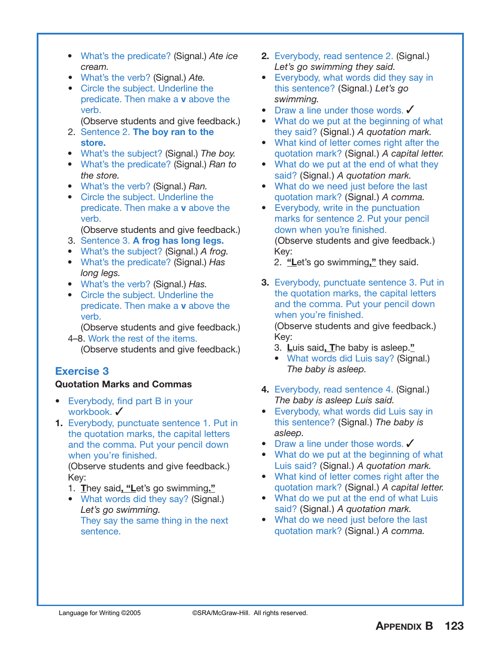- **•** What's the predicate? (Signal.) *Ate ice cream.*
- **•** What's the verb? (Signal.) *Ate.*
- **•** Circle the subject. Underline the predicate. Then make a **v** above the verb.
- (Observe students and give feedback.)
- 2. Sentence 2. **The boy ran to the store.**
- **•** What's the subject? (Signal.) *The boy.*
- **•** What's the predicate? (Signal.) *Ran to the store.*
- **•** What's the verb? (Signal.) *Ran.*
- **•** Circle the subject. Underline the predicate. Then make a **v** above the verb.

(Observe students and give feedback.)

- 3. Sentence 3. **A frog has long legs.**
- **•** What's the subject? (Signal.) *A frog.*
- **•** What's the predicate? (Signal.) *Has long legs.*
- **•** What's the verb? (Signal.) *Has.*
- **•** Circle the subject. Underline the predicate. Then make a **v** above the verb.

(Observe students and give feedback.)

4–8. Work the rest of the items. (Observe students and give feedback.)

# **Exercise 3**

## **Quotation Marks and Commas**

- **•** Everybody, find part B in your workbook. ✔
- **1.** Everybody, punctuate sentence 1. Put in the quotation marks, the capital letters and the comma. Put your pencil down when you're finished.

(Observe students and give feedback.) Key:

- 1. **T**hey said**, "L**et's go swimming**."**
- **•** What words did they say? (Signal.) *Let's go swimming.* They say the same thing in the next sentence.
- **2.** Everybody, read sentence 2. (Signal.) *Let's go swimming they said.*
- **•** Everybody, what words did they say in this sentence? (Signal.) *Let's go swimming.*
- Draw a line under those words. ✔
- **•** What do we put at the beginning of what they said? (Signal.) *A quotation mark.*
- **•** What kind of letter comes right after the quotation mark? (Signal.) *A capital letter.*
- **•** What do we put at the end of what they said? (Signal.) *A quotation mark.*
- **•** What do we need just before the last quotation mark? (Signal.) *A comma.*
- **•** Everybody, write in the punctuation marks for sentence 2. Put your pencil down when you're finished. (Observe students and give feedback.) Key:

2. **"L**et's go swimming**,"** they said.

- **3.** Everybody, punctuate sentence 3. Put in the quotation marks, the capital letters and the comma. Put your pencil down when you're finished. (Observe students and give feedback.) Key:
	- 3. **L**uis said**, T**he baby is asleep.**"**
	- **•** What words did Luis say? (Signal.) *The baby is asleep.*
- **4.** Everybody, read sentence 4. (Signal.) *The baby is asleep Luis said.*
- **•** Everybody, what words did Luis say in this sentence? (Signal.) *The baby is asleep.*
- Draw a line under those words. ✔
- **•** What do we put at the beginning of what Luis said? (Signal.) *A quotation mark.*
- **•** What kind of letter comes right after the quotation mark? (Signal.) *A capital letter.*
- **•** What do we put at the end of what Luis said? (Signal.) *A quotation mark.*
- **•** What do we need just before the last quotation mark? (Signal.) *A comma.*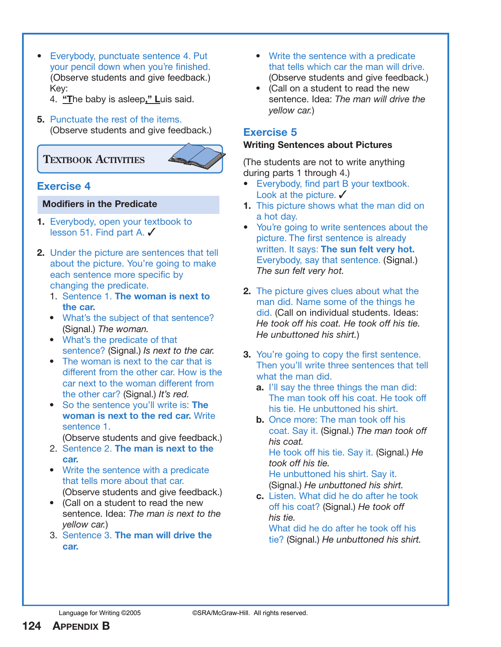**•** Everybody, punctuate sentence 4. Put your pencil down when you're finished. (Observe students and give feedback.) Key:

4. **"T**he baby is asleep**," L**uis said.

**5.** Punctuate the rest of the items. (Observe students and give feedback.)

# **TEXTBOOK ACTIVITIES**



## **Exercise 4**

#### **Modifiers in the Predicate**

- **1.** Everybody, open your textbook to lesson 51. Find part A. ✓
- **2.** Under the picture are sentences that tell about the picture. You're going to make each sentence more specific by changing the predicate.
	- 1. Sentence 1. **The woman is next to the car.**
	- **•** What's the subject of that sentence? (Signal.) *The woman.*
	- **•** What's the predicate of that sentence? (Signal.) *Is next to the car.*
	- **•** The woman is next to the car that is different from the other car. How is the car next to the woman different from the other car? (Signal.) *It's red.*
	- **•** So the sentence you'll write is: **The woman is next to the red car.** Write sentence 1.

(Observe students and give feedback.)

- 2. Sentence 2. **The man is next to the car.**
- **•** Write the sentence with a predicate that tells more about that car. (Observe students and give feedback.)
- **•** (Call on a student to read the new sentence. Idea: *The man is next to the yellow car.*)
- 3. Sentence 3. **The man will drive the car.**
- **•** Write the sentence with a predicate that tells which car the man will drive. (Observe students and give feedback.)
- **•** (Call on a student to read the new sentence. Idea: *The man will drive the yellow car.*)

## **Exercise 5**

#### **Writing Sentences about Pictures**

(The students are not to write anything during parts 1 through 4.)

- **•** Everybody, find part B your textbook. Look at the picture.  $\checkmark$
- **1.** This picture shows what the man did on a hot day.
- **•** You're going to write sentences about the picture. The first sentence is already written. It says: **The sun felt very hot.** Everybody, say that sentence. (Signal.) *The sun felt very hot.*
- **2.** The picture gives clues about what the man did. Name some of the things he did. (Call on individual students. Ideas: *He took off his coat. He took off his tie. He unbuttoned his shirt.*)
- **3.** You're going to copy the first sentence. Then you'll write three sentences that tell what the man did.
	- **a.** I'll say the three things the man did: The man took off his coat. He took off his tie. He unbuttoned his shirt.
	- **b.** Once more: The man took off his coat. Say it. (Signal.) *The man took off his coat.* He took off his tie. Say it. (Signal.) *He took off his tie.* He unbuttoned his shirt. Say it.

(Signal.) *He unbuttoned his shirt.*

**c.** Listen. What did he do after he took off his coat? (Signal.) *He took off his tie.*

What did he do after he took off his tie? (Signal.) *He unbuttoned his shirt.*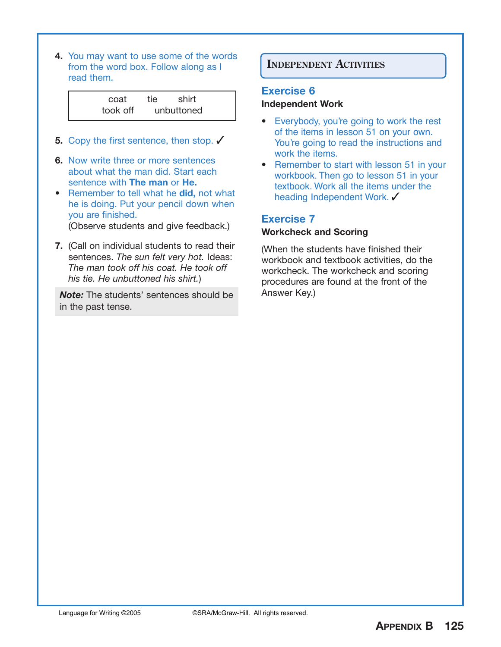**4.** You may want to use some of the words from the word box. Follow along as I read them.

| coat     | tie shirt  |  |
|----------|------------|--|
| took off | unbuttoned |  |

- **5.** Copy the first sentence, then stop. ✔
- **6.** Now write three or more sentences about what the man did. Start each sentence with **The man** or **He.**
- **•** Remember to tell what he **did,** not what he is doing. Put your pencil down when you are finished. (Observe students and give feedback.)
- **7.** (Call on individual students to read their sentences. *The sun felt very hot.* Ideas: *The man took off his coat. He took off his tie. He unbuttoned his shirt.*)

**Note:** The students' sentences should be Answer Key.) in the past tense.

# **INDEPENDENT ACTIVITIES**

#### **Exercise 6**

#### **Independent Work**

- **•** Everybody, you're going to work the rest of the items in lesson 51 on your own. You're going to read the instructions and work the items.
- **•** Remember to start with lesson 51 in your workbook. Then go to lesson 51 in your textbook. Work all the items under the heading Independent Work. ✓

## **Exercise 7**

#### **Workcheck and Scoring**

(When the students have finished their workbook and textbook activities, do the workcheck. The workcheck and scoring procedures are found at the front of the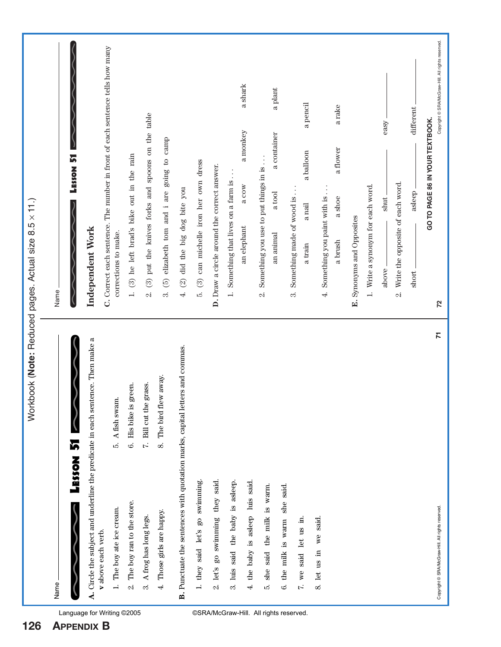| Name                                                                                                  |                           | Workbook (Note: Reduced pages. Actual size 8.5 x 11.)                                                    |
|-------------------------------------------------------------------------------------------------------|---------------------------|----------------------------------------------------------------------------------------------------------|
|                                                                                                       |                           | <b>LESSON 51</b><br>Name.                                                                                |
| LESSON 51                                                                                             |                           |                                                                                                          |
| A. Circle the subject and underline the predicate in each sentence. Then make a<br>v above each verb. |                           | C. Correct each sentence. The number in front of each sentence tells how many<br><b>Independent Work</b> |
| 1. The boy ate ice cream.                                                                             | 5. A fish swam.           | corrections to make.                                                                                     |
| 2. The boy ran to the store.                                                                          | 6. His bike is green.     | 1. (3) he left brad's bike out in the rain                                                               |
| 3. A frog has long legs.                                                                              | 7. Bill cut the grass.    | $2.$ (3) put the knives forks and spoons on the table                                                    |
| 4. Those girls are happy.                                                                             | away.<br>8. The bird flew | (5) elizabeth tom and i are going to camp<br>ကဲ                                                          |
| B. Punctuate the sentences with quotation marks, capital letter                                       | rs and commas.            | (2) did the big dog bite you<br>$\vec{r}$                                                                |
| 1. they said let's go swimming.                                                                       |                           | 5. (3) can michelle iron her own dress                                                                   |
| 2. let's go swimming they said.                                                                       |                           | D. Draw a circle around the correct answer.                                                              |
| 3. luis said the baby is asleep.                                                                      |                           | 1. Something that lives on a farm is                                                                     |
| 4. the baby is asleep luis said.                                                                      |                           | a shark<br>a monkey<br>a cow<br>an elephant                                                              |
| 5. she said the milk is warm.                                                                         |                           | Something you use to put things in is.<br>$\dot{\infty}$                                                 |
| 6. the milk is warm she said.                                                                         |                           | a plant<br>a container<br>a tool<br>an animal                                                            |
|                                                                                                       |                           | Something made of wood is.<br>ကဲ                                                                         |
| 7. we said let us in.                                                                                 |                           | a pencil<br>a balloon<br>$\,$ a nail<br>a train                                                          |
| 8. let us in we said.                                                                                 |                           | a rake<br>a flower<br>Something you paint with is<br>a shoe<br>a brush<br>$\vec{r}$                      |
|                                                                                                       |                           | E. Synonyms and Opposites                                                                                |
|                                                                                                       |                           | Write a synonym for each word.<br>$\overline{a}$                                                         |
|                                                                                                       |                           | easy<br>shut.<br>above.                                                                                  |
|                                                                                                       |                           | Write the opposite of each word.<br>$\alpha$                                                             |
|                                                                                                       |                           | different<br>asleep<br>short                                                                             |
| Copyright @ SRA/McGraw-Hill. All rights reserved.                                                     | $\overline{r}$            | Copyright © SRA/McGraw-Hill. All rights reserved.<br>GO TO PAGE 86 IN YOUR TEXTBOOK.<br>72               |